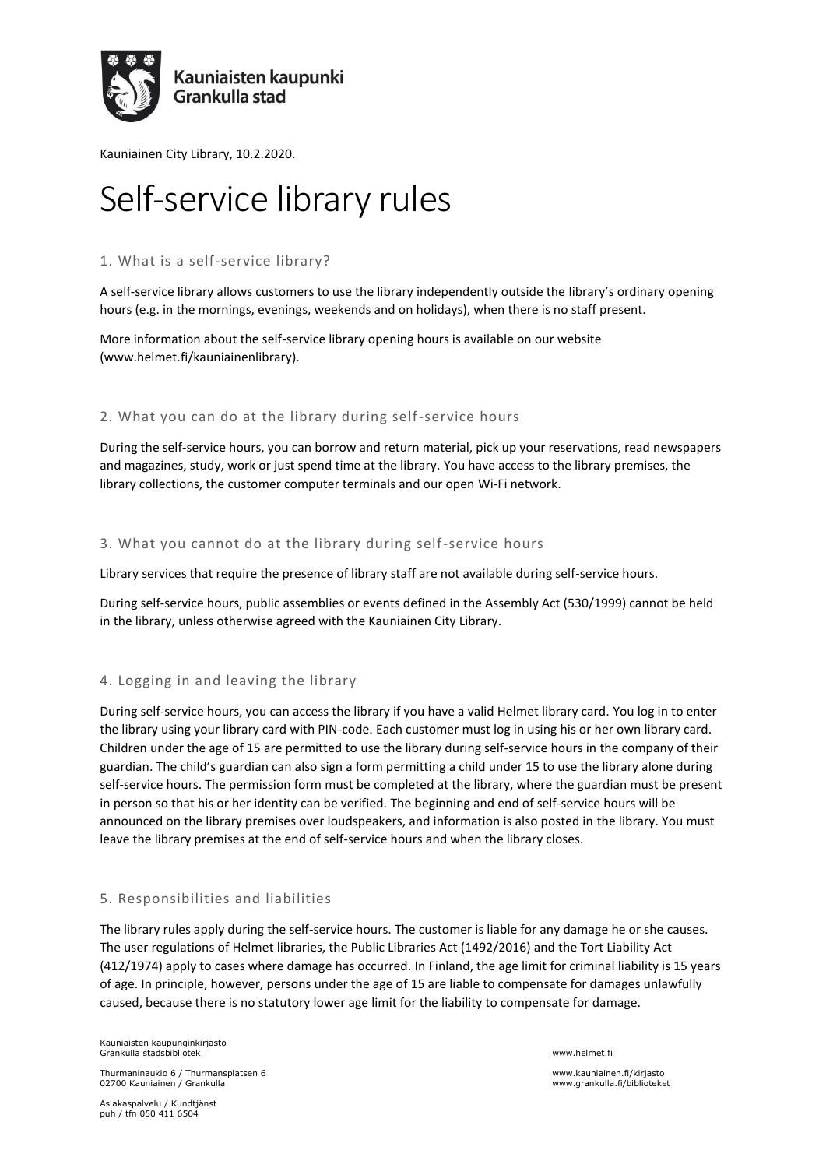

Kauniainen City Library, 10.2.2020.

# Self-service library rules

#### 1. What is a self-service library?

A self-service library allows customers to use the library independently outside the library's ordinary opening hours (e.g. in the mornings, evenings, weekends and on holidays), when there is no staff present.

More information about the self-service library opening hours is available on our website (www.helmet.fi/kauniainenlibrary).

## 2. What you can do at the library during self-service hours

During the self-service hours, you can borrow and return material, pick up your reservations, read newspapers and magazines, study, work or just spend time at the library. You have access to the library premises, the library collections, the customer computer terminals and our open Wi-Fi network.

#### 3. What you cannot do at the library during self-service hours

Library services that require the presence of library staff are not available during self-service hours.

During self-service hours, public assemblies or events defined in the Assembly Act (530/1999) cannot be held in the library, unless otherwise agreed with the Kauniainen City Library.

## 4. Logging in and leaving the library

During self-service hours, you can access the library if you have a valid Helmet library card. You log in to enter the library using your library card with PIN-code. Each customer must log in using his or her own library card. Children under the age of 15 are permitted to use the library during self-service hours in the company of their guardian. The child's guardian can also sign a form permitting a child under 15 to use the library alone during self-service hours. The permission form must be completed at the library, where the guardian must be present in person so that his or her identity can be verified. The beginning and end of self-service hours will be announced on the library premises over loudspeakers, and information is also posted in the library. You must leave the library premises at the end of self-service hours and when the library closes.

## 5. Responsibilities and liabilities

The library rules apply during the self-service hours. The customer is liable for any damage he or she causes. The user regulations of Helmet libraries, the Public Libraries Act (1492/2016) and the Tort Liability Act (412/1974) apply to cases where damage has occurred. In Finland, the age limit for criminal liability is 15 years of age. In principle, however, persons under the age of 15 are liable to compensate for damages unlawfully caused, because there is no statutory lower age limit for the liability to compensate for damage.

Kauniaisten kaupunginkirjasto Grankulla stadsbibliotek www.helmet.fi

Thurmaninaukio 6 / Thurmansplatsen 6 www.kauniainen.fi/kirjasto 02700 Kauniainen / Grankulla www.grankulla.fi/biblioteket

Asiakaspalvelu / Kundtjänst puh / tfn 050 411 6504